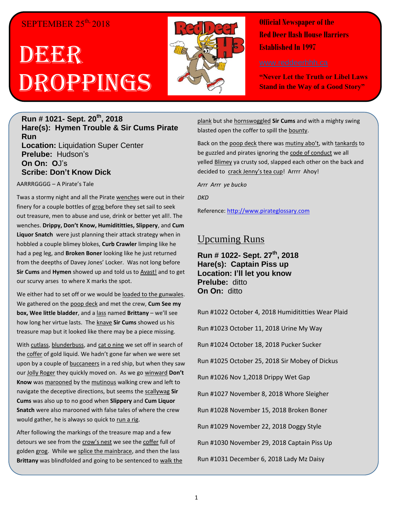#### SEPTEMBER  $25<sup>th</sup>$ , 2018

## DBGEGR Droppings



**Official Newspaper of the Red Deer Hash House Harriers Established In 1997** 

**"Never Let the Truth or Libel Laws Stand in the Way of a Good Story"**

#### **Run # 1021- Sept. 20th, 2018 Hare(s): Hymen Trouble & Sir Cums Pirate Run Location:** Liquidation Super Center **Prelube:** Hudson's **On On: O**J's **Scribe: Don't Know Dick**

AARRRGGGG – A Pirate's Tale

Twas a stormy night and all the Pirate wenches were out in their finery for a couple bottles of grog before they set sail to seek out treasure, men to abuse and use, drink or better yet all!. The wenches. **Drippy, Don't Know, Humidititties, Slippery**, and **Cum Liquor Snatch** were just planning their attack strategy when in hobbled a couple blimey blokes, **Curb Crawler** limping like he had a peg leg, and **Broken Boner** looking like he just returned from the deepths of Davey Jones' Locker. Was not long before **Sir Cums** and **Hymen** showed up and told us to Avast! and to get our scurvy arses to where X marks the spot.

We either had to set off or we would be loaded to the gunwales. We gathered on the poop deck and met the crew, **Cum See my box, Wee little bladder**, and a lass named **Brittany** – we'll see how long her virtue lasts. The knave **Sir Cums** showed us his treasure map but it looked like there may be a piece missing.

With cutlass, blunderbuss, and cat o nine we set off in search of the coffer of gold liquid. We hadn't gone far when we were set upon by a couple of buccaneers in a red ship, but when they saw our Jolly Roger they quickly moved on. As we go winward **Don't Know** was marooned by the mutinous walking crew and left to navigate the deceptive directions, but seems the scallywag **Sir Cums** was also up to no good when **Slippery** and **Cum Liquor Snatch** were also marooned with false tales of where the crew would gather, he is always so quick to run a rig.

After following the markings of the treasure map and a few detours we see from the crow's nest we see the coffer full of golden grog. While we splice the mainbrace, and then the lass **Brittany** was blindfolded and going to be sentenced to walk the plank but she hornswoggled **Sir Cums** and with a mighty swing blasted open the coffer to spill the bounty.

Back on the poop deck there was mutiny abo't, with tankards to be guzzled and pirates ignoring the code of conduct we all yelled Blimey ya crusty sod, slapped each other on the back and decided to crack Jenny's tea cup! Arrrr Ahoy!

*Arrr Arrr ye bucko*

*DKD*

Reference: [http://www.pirateglossary.com](http://www.pirateglossary.com/)

#### Upcuming Runs

**Run # 1022- Sept. 27 th, 2018 Hare(s): Captain Piss up Location: I'll let you know Prelube:** ditto **On On:** ditto

Run #1022 October 4, 2018 Humidititties Wear Plaid Run #1023 October 11, 2018 Urine My Way Run #1024 October 18, 2018 Pucker Sucker Run #1025 October 25, 2018 Sir Mobey of Dickus Run #1026 Nov 1,2018 Drippy Wet Gap Run #1027 November 8, 2018 Whore Sleigher Run #1028 November 15, 2018 Broken Boner Run #1029 November 22, 2018 Doggy Style Run #1030 November 29, 2018 Captain Piss Up Run #1031 December 6, 2018 Lady Mz Daisy